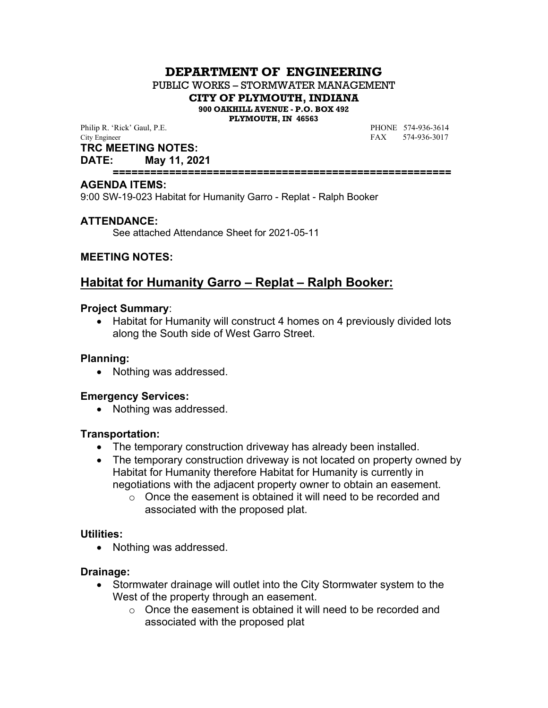## **DEPARTMENT OF ENGINEERING**

PUBLIC WORKS – STORMWATER MANAGEMENT

**CITY OF PLYMOUTH, INDIANA**

**900 OAKHILL AVENUE - P.O. BOX 492**

**PLYMOUTH, IN 46563**

Philip R. 'Rick' Gaul, P.E. **PHONE** 574-936-3614 City Engineer FAX 574-936-3017

**TRC MEETING NOTES:**

**DATE: May 11, 2021**

**======================================================**

#### **AGENDA ITEMS:**

9:00 SW-19-023 Habitat for Humanity Garro - Replat - Ralph Booker

### **ATTENDANCE:**

See attached Attendance Sheet for 2021-05-11

#### **MEETING NOTES:**

# **Habitat for Humanity Garro – Replat – Ralph Booker:**

#### **Project Summary**:

• Habitat for Humanity will construct 4 homes on 4 previously divided lots along the South side of West Garro Street.

#### **Planning:**

• Nothing was addressed.

#### **Emergency Services:**

• Nothing was addressed.

#### **Transportation:**

- The temporary construction driveway has already been installed.
- The temporary construction driveway is not located on property owned by Habitat for Humanity therefore Habitat for Humanity is currently in negotiations with the adjacent property owner to obtain an easement.
	- o Once the easement is obtained it will need to be recorded and associated with the proposed plat.

#### **Utilities:**

• Nothing was addressed.

#### **Drainage:**

- Stormwater drainage will outlet into the City Stormwater system to the West of the property through an easement.
	- o Once the easement is obtained it will need to be recorded and associated with the proposed plat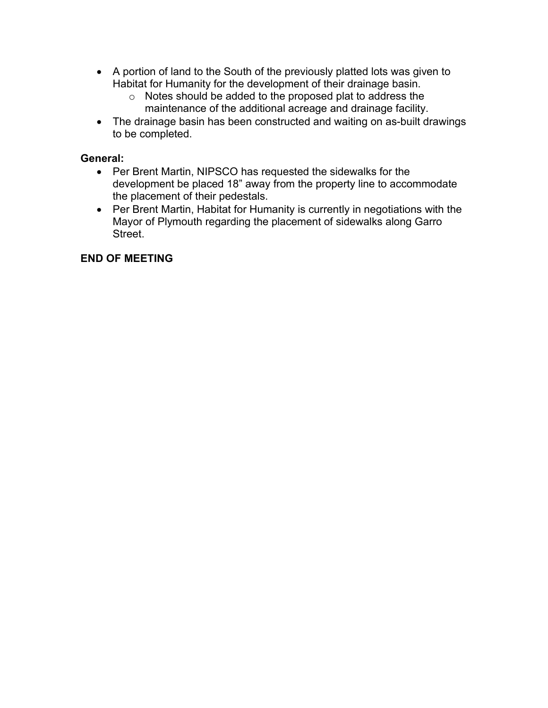- A portion of land to the South of the previously platted lots was given to Habitat for Humanity for the development of their drainage basin.
	- o Notes should be added to the proposed plat to address the maintenance of the additional acreage and drainage facility.
- The drainage basin has been constructed and waiting on as-built drawings to be completed.

## **General:**

- Per Brent Martin, NIPSCO has requested the sidewalks for the development be placed 18" away from the property line to accommodate the placement of their pedestals.
- Per Brent Martin, Habitat for Humanity is currently in negotiations with the Mayor of Plymouth regarding the placement of sidewalks along Garro Street.

### **END OF MEETING**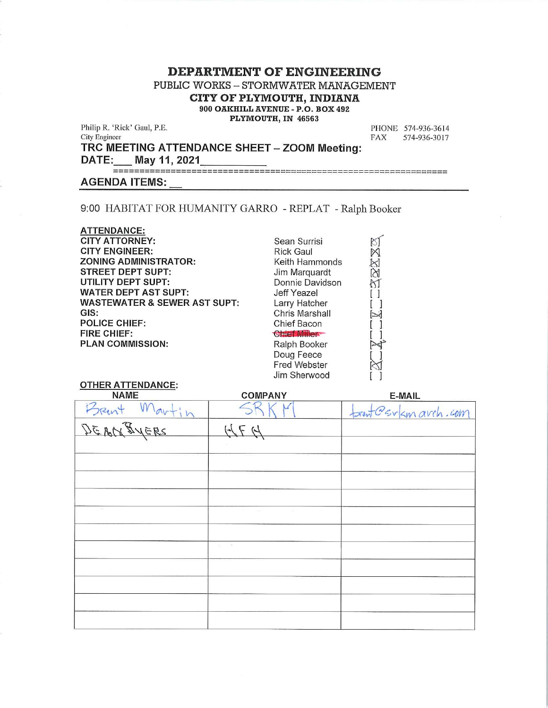#### **DEPARTMENT OF ENGINEERING**

PUBLIC WORKS - STORMWATER MANAGEMENT

CITY OF PLYMOUTH, INDIANA

900 OAKHILL AVENUE - P.O. BOX 492

PLYMOUTH, IN 46563

Philip R. 'Rick' Gaul, P.E. City Engineer

PHONE 574-936-3614 **FAX** 574-936-3017

TRC MEETING ATTENDANCE SHEET - ZOOM Meeting:

DATE: May 11, 2021

#### **AGENDA ITEMS:**

**OTHER ATTENDANCE:** 

9:00 HABITAT FOR HUMANITY GARRO - REPLAT - Ralph Booker

**ATTENDANCE: CITY ATTORNEY: CITY ENGINEER: ZONING ADMINISTRATOR: STREET DEPT SUPT: UTILITY DEPT SUPT: WATER DEPT AST SUPT: WASTEWATER & SEWER AST SUPT:** GIS: **POLICE CHIEF: FIRE CHIEF: PLAN COMMISSION:** 

Sean Surrisi **Rick Gaul** Keith Hammonds Jim Marquardt Donnie Davidson **Jeff Yeazel** Larry Hatcher Chris Marshall Chief Bacon **Chief Miller** Ralph Booker Doug Feece Fred Webster Jim Sherwood



# **NAME COMPANY** E-MAIL  $m_{av}t$ ; **SRENT**  $55$ Gerkmarch.com ANEES  $H \neq H$  $DEBA$